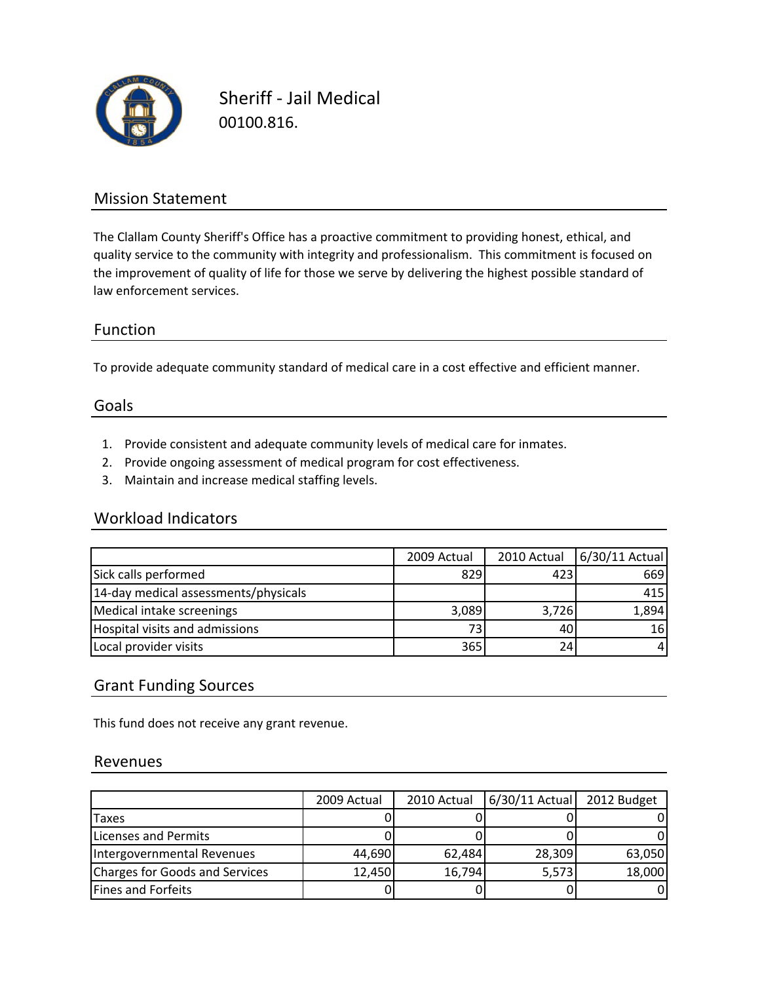

Sheriff ‐ Jail Medical 00100.816.

## Mission Statement

The Clallam County Sheriff's Office has a proactive commitment to providing honest, ethical, and quality service to the community with integrity and professionalism. This commitment is focused on the improvement of quality of life for those we serve by delivering the highest possible standard of law enforcement services.

### Function

To provide adequate community standard of medical care in a cost effective and efficient manner.

#### Goals

- 1. Provide consistent and adequate community levels of medical care for inmates.
- 2. Provide ongoing assessment of medical program for cost effectiveness.
- 3. Maintain and increase medical staffing levels.

### Workload Indicators

|                                      | 2009 Actual | 2010 Actual | 6/30/11 Actual  |
|--------------------------------------|-------------|-------------|-----------------|
| Sick calls performed                 | 829         | 423         | 669             |
| 14-day medical assessments/physicals |             |             | 415             |
| Medical intake screenings            | 3,089       | 3,726       | 1,894           |
| Hospital visits and admissions       | 73          | 40          | 16 <sup>l</sup> |
| Local provider visits                | 365         | 24          |                 |

### Grant Funding Sources

This fund does not receive any grant revenue.

#### Revenues

|                                | 2009 Actual | 2010 Actual | $6/30/11$ Actual | 2012 Budget |
|--------------------------------|-------------|-------------|------------------|-------------|
| <b>Taxes</b>                   |             |             |                  |             |
| Licenses and Permits           |             |             |                  |             |
| Intergovernmental Revenues     | 44,690      | 62,484      | 28,309           | 63,050      |
| Charges for Goods and Services | 12,450      | 16,794      | 5,573            | 18,000      |
| Fines and Forfeits             |             |             |                  |             |